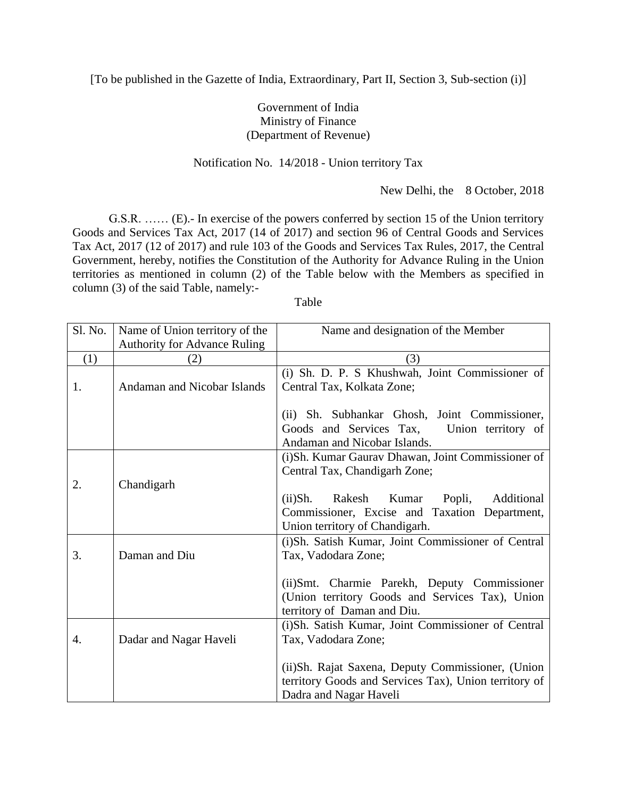[To be published in the Gazette of India, Extraordinary, Part II, Section 3, Sub-section (i)]

## Government of India Ministry of Finance (Department of Revenue)

## Notification No. 14/2018 - Union territory Tax

New Delhi, the 8 October, 2018

G.S.R. …… (E).- In exercise of the powers conferred by section 15 of the Union territory Goods and Services Tax Act, 2017 (14 of 2017) and section 96 of Central Goods and Services Tax Act, 2017 (12 of 2017) and rule 103 of the Goods and Services Tax Rules, 2017, the Central Government, hereby, notifies the Constitution of the Authority for Advance Ruling in the Union territories as mentioned in column (2) of the Table below with the Members as specified in column (3) of the said Table, namely:-

Table

| Sl. No. | Name of Union territory of the      | Name and designation of the Member                    |
|---------|-------------------------------------|-------------------------------------------------------|
|         | <b>Authority for Advance Ruling</b> |                                                       |
| (1)     | (2)                                 | (3)                                                   |
|         |                                     | (i) Sh. D. P. S Khushwah, Joint Commissioner of       |
| 1.      | <b>Andaman and Nicobar Islands</b>  | Central Tax, Kolkata Zone;                            |
|         |                                     |                                                       |
|         |                                     | (ii) Sh. Subhankar Ghosh, Joint Commissioner,         |
|         |                                     | Goods and Services Tax,<br>Union territory of         |
|         |                                     | Andaman and Nicobar Islands.                          |
|         |                                     | (i)Sh. Kumar Gaurav Dhawan, Joint Commissioner of     |
|         |                                     | Central Tax, Chandigarh Zone;                         |
| 2.      | Chandigarh                          |                                                       |
|         |                                     | $(ii)$ Sh.<br>Popli, Additional<br>Rakesh Kumar       |
|         |                                     | Commissioner, Excise and Taxation Department,         |
|         |                                     | Union territory of Chandigarh.                        |
|         |                                     | (i)Sh. Satish Kumar, Joint Commissioner of Central    |
| 3.      | Daman and Diu                       | Tax, Vadodara Zone;                                   |
|         |                                     |                                                       |
|         |                                     | (ii) Smt. Charmie Parekh, Deputy Commissioner         |
|         |                                     | (Union territory Goods and Services Tax), Union       |
|         |                                     | territory of Daman and Diu.                           |
|         |                                     | (i)Sh. Satish Kumar, Joint Commissioner of Central    |
| 4.      | Dadar and Nagar Haveli              | Tax, Vadodara Zone;                                   |
|         |                                     |                                                       |
|         |                                     | (ii)Sh. Rajat Saxena, Deputy Commissioner, (Union     |
|         |                                     | territory Goods and Services Tax), Union territory of |
|         |                                     | Dadra and Nagar Haveli                                |